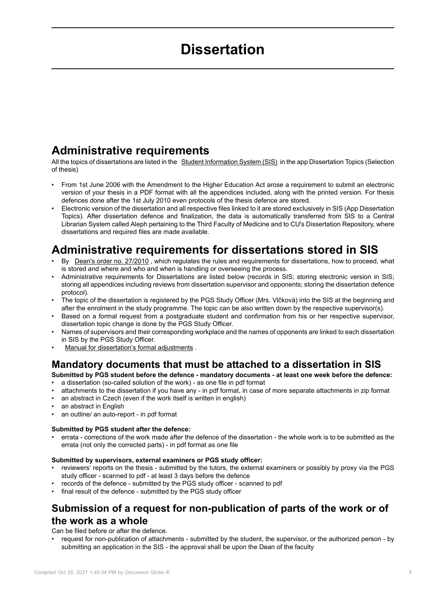# **Dissertation**

# <span id="page-0-0"></span>**Administrative requirements**

All the topics of dissertations are listed in the [Student Information System \(SIS\)](https://is.cuni.cz/studium/eng/index.php) in the app Dissertation Topics (Selection of thesis)

- From 1st June 2006 with the Amendment to the Higher Education Act arose a requirement to submit an electronic version of your thesis in a PDF format with all the appendices included, along with the printed version. For thesis defences done after the 1st July 2010 even protocols of the thesis defence are stored.
- Electronic version of the dissertation and all respective files linked to it are stored exclusively in SIS (App Dissertation Topics). After dissertation defence and finalization, the data is automatically transferred from SIS to a Central Librarian System called Aleph pertaining to the Third Faculty of Medicine and to CU's Dissertation Repository, where dissertations and required files are made available.

# **Administrative requirements for dissertations stored in SIS**

- By Dean's order no. 27/2010 , which regulates the rules and requirements for dissertations, how to proceed, what is stored and where and who and when is handling or overseeing the process.
- Administrative requirements for Dissertations are listed below (records in SIS; storing electronic version in SIS; storing all appendices including reviews from dissertation supervisor and opponents; storing the dissertation defence protocol).
- The topic of the dissertation is registered by the PGS Study Officer (Mrs. Vlčková) into the SIS at the beginning and after the enrolment in the study programme. The topic can be also written down by the respective supervisor(s).
- Based on a formal request from a postgraduate student and confirmation from his or her respective supervisor, dissertation topic change is done by the PGS Study Officer.
- Names of supervisors and their corresponding workplace and the names of opponents are linked to each dissertation in SIS by the PGS Study Officer.
- [Manual for dissertation's formal adjustments](https://www.lf3.cuni.cz/3LF-61-version1-pravidla_pro_psani_disertacni_prace.doc).

### **Mandatory documents that must be attached to a dissertation in SIS**

**Submitted by PGS student before the defence - mandatory documents - at least one week before the defence:** • a dissertation (so-called solution of the work) - as one file in pdf format

- attachments to the dissertation if you have any in pdf format, in case of more separate attachments in zip format
- an abstract in Czech (even if the work itself is written in english)
- an abstract in English
- an outline/ an auto-report in pdf format

### **Submitted by PGS student after the defence:**

• errata - corrections of the work made after the defence of the dissertation - the whole work is to be submitted as the errata (not only the corrected parts) - in pdf format as one file

### **Submitted by supervisors, external examiners or PGS study officer:**

- reviewers' reports on the thesis submitted by the tutors, the external examiners or possibly by proxy via the PGS study officer - scanned to pdf - at least 3 days before the defence
- records of the defence submitted by the PGS study officer scanned to pdf
- final result of the defence submitted by the PGS study officer

### **Submission of a request for non-publication of parts of the work or of the work as a whole**

### Can be filed before or after the defence.

• request for non-publication of attachments - submitted by the student, the supervisor, or the authorized person - by submitting an application in the SIS - the approval shall be upon the Dean of the faculty